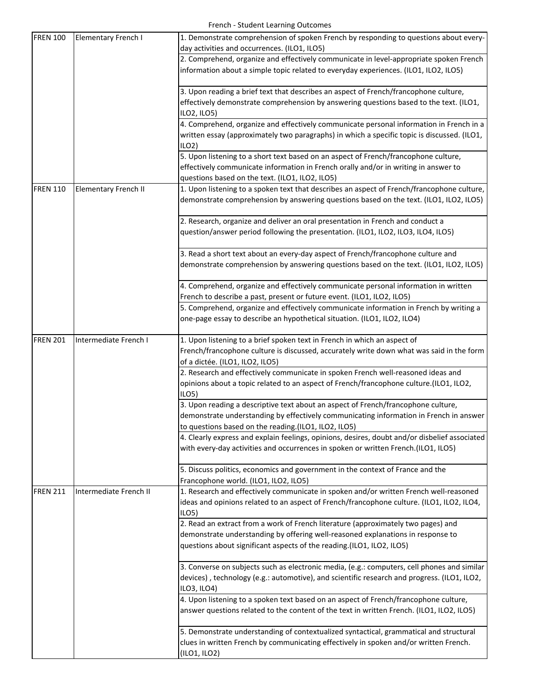| <b>FREN 100</b> | <b>Elementary French I</b>  | 1. Demonstrate comprehension of spoken French by responding to questions about every-<br>day activities and occurrences. (ILO1, ILO5) |
|-----------------|-----------------------------|---------------------------------------------------------------------------------------------------------------------------------------|
|                 |                             | 2. Comprehend, organize and effectively communicate in level-appropriate spoken French                                                |
|                 |                             |                                                                                                                                       |
|                 |                             | information about a simple topic related to everyday experiences. (ILO1, ILO2, ILO5)                                                  |
|                 |                             | 3. Upon reading a brief text that describes an aspect of French/francophone culture,                                                  |
|                 |                             | effectively demonstrate comprehension by answering questions based to the text. (ILO1,                                                |
|                 |                             | ILO2, ILO5)                                                                                                                           |
|                 |                             | 4. Comprehend, organize and effectively communicate personal information in French in a                                               |
|                 |                             | written essay (approximately two paragraphs) in which a specific topic is discussed. (ILO1,                                           |
|                 |                             | ILO2                                                                                                                                  |
|                 |                             | 5. Upon listening to a short text based on an aspect of French/francophone culture,                                                   |
|                 |                             | effectively communicate information in French orally and/or in writing in answer to                                                   |
|                 |                             | questions based on the text. (ILO1, ILO2, ILO5)                                                                                       |
| <b>FREN 110</b> | <b>Elementary French II</b> | 1. Upon listening to a spoken text that describes an aspect of French/francophone culture,                                            |
|                 |                             | demonstrate comprehension by answering questions based on the text. (ILO1, ILO2, ILO5)                                                |
|                 |                             | 2. Research, organize and deliver an oral presentation in French and conduct a                                                        |
|                 |                             | question/answer period following the presentation. (ILO1, ILO2, ILO3, ILO4, ILO5)                                                     |
|                 |                             | 3. Read a short text about an every-day aspect of French/francophone culture and                                                      |
|                 |                             | demonstrate comprehension by answering questions based on the text. (ILO1, ILO2, ILO5)                                                |
|                 |                             |                                                                                                                                       |
|                 |                             | 4. Comprehend, organize and effectively communicate personal information in written                                                   |
|                 |                             | French to describe a past, present or future event. (ILO1, ILO2, ILO5)                                                                |
|                 |                             | 5. Comprehend, organize and effectively communicate information in French by writing a                                                |
|                 |                             | one-page essay to describe an hypothetical situation. (ILO1, ILO2, ILO4)                                                              |
|                 |                             |                                                                                                                                       |
| <b>FREN 201</b> | Intermediate French I       | 1. Upon listening to a brief spoken text in French in which an aspect of                                                              |
|                 |                             | French/francophone culture is discussed, accurately write down what was said in the form                                              |
|                 |                             | of a dictée. (ILO1, ILO2, ILO5)                                                                                                       |
|                 |                             | 2. Research and effectively communicate in spoken French well-reasoned ideas and                                                      |
|                 |                             | opinions about a topic related to an aspect of French/francophone culture.(ILO1, ILO2,<br>ILO <sub>5</sub>                            |
|                 |                             | 3. Upon reading a descriptive text about an aspect of French/francophone culture,                                                     |
|                 |                             | demonstrate understanding by effectively communicating information in French in answer                                                |
|                 |                             | to questions based on the reading.(ILO1, ILO2, ILO5)                                                                                  |
|                 |                             | 4. Clearly express and explain feelings, opinions, desires, doubt and/or disbelief associated                                         |
|                 |                             | with every-day activities and occurrences in spoken or written French.(ILO1, ILO5)                                                    |
|                 |                             |                                                                                                                                       |
|                 |                             | 5. Discuss politics, economics and government in the context of France and the                                                        |
|                 |                             | Francophone world. (ILO1, ILO2, ILO5)                                                                                                 |
| <b>FREN 211</b> | Intermediate French II      | 1. Research and effectively communicate in spoken and/or written French well-reasoned                                                 |
|                 |                             | ideas and opinions related to an aspect of French/francophone culture. (ILO1, ILO2, ILO4,                                             |
|                 |                             | ILO5)                                                                                                                                 |
|                 |                             | 2. Read an extract from a work of French literature (approximately two pages) and                                                     |
|                 |                             | demonstrate understanding by offering well-reasoned explanations in response to                                                       |
|                 |                             | questions about significant aspects of the reading.(ILO1, ILO2, ILO5)                                                                 |
|                 |                             | 3. Converse on subjects such as electronic media, (e.g.: computers, cell phones and similar                                           |
|                 |                             | devices), technology (e.g.: automotive), and scientific research and progress. (ILO1, ILO2,                                           |
|                 |                             | ILO3, ILO4)                                                                                                                           |
|                 |                             | 4. Upon listening to a spoken text based on an aspect of French/francophone culture,                                                  |
|                 |                             | answer questions related to the content of the text in written French. (ILO1, ILO2, ILO5)                                             |
|                 |                             | 5. Demonstrate understanding of contextualized syntactical, grammatical and structural                                                |
|                 |                             | clues in written French by communicating effectively in spoken and/or written French.                                                 |
|                 |                             | (ILO1, ILO2)                                                                                                                          |
|                 |                             |                                                                                                                                       |